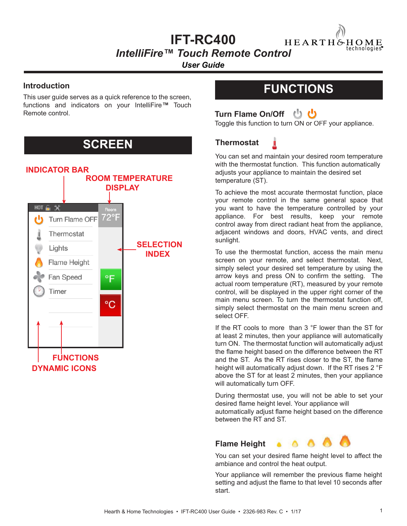### **IFT-RC400**

HEARTH&HOME technologies

*IntelliFire™ Touch Remote Control* 

*User Guide*

#### **Introduction**

This user guide serves as a quick reference to the screen, functions and indicators on your IntelliFire*™* Touch Remote control.

## **SCREEN**



## **FUNCTIONS**



Toggle this function to turn ON or OFF your appliance.

### **Thermostat**

You can set and maintain your desired room temperature with the thermostat function. This function automatically adjusts your appliance to maintain the desired set temperature (ST).

To achieve the most accurate thermostat function, place your remote control in the same general space that you want to have the temperature controlled by your appliance. For best results, keep your remote control away from direct radiant heat from the appliance, adjacent windows and doors, HVAC vents, and direct sunlight.

To use the thermostat function, access the main menu screen on your remote, and select thermostat. Next, simply select your desired set temperature by using the arrow keys and press ON to confirm the setting. The actual room temperature (RT), measured by your remote control, will be displayed in the upper right corner of the main menu screen. To turn the thermostat function off, simply select thermostat on the main menu screen and select OFF.

If the RT cools to more than 3 °F lower than the ST for at least 2 minutes, then your appliance will automatically turn ON. The thermostat function will automatically adjust the flame height based on the difference between the RT and the ST. As the RT rises closer to the ST, the flame height will automatically adjust down. If the RT rises 2 °F above the ST for at least 2 minutes, then your appliance will automatically turn OFF.

During thermostat use, you will not be able to set your desired flame height level. Your appliance will automatically adjust flame height based on the difference between the RT and ST.



You can set your desired flame height level to affect the ambiance and control the heat output.

Your appliance will remember the previous flame height setting and adjust the flame to that level 10 seconds after start.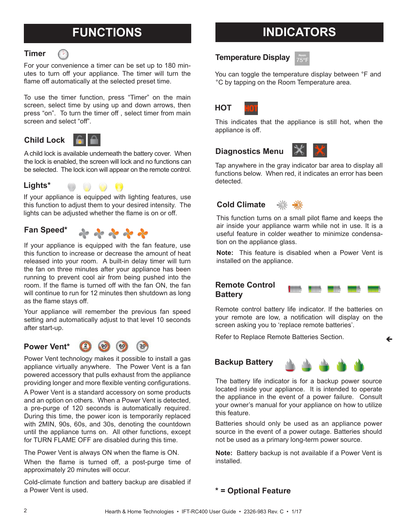# **FUNCTIONS**

#### **Timer**

For your convenience a timer can be set up to 180 minutes to turn off your appliance. The timer will turn the flame off automatically at the selected preset time.

To use the timer function, press "Timer" on the main screen, select time by using up and down arrows, then press "on". To turn the timer off , select timer from main screen and select "off".

**Child Lock**



A child lock is available underneath the battery cover. When the lock is enabled, the screen will lock and no functions can be selected. The lock icon will appear on the remote control.



If your appliance is equipped with lighting features, use this function to adjust them to your desired intensity. The lights can be adjusted whether the flame is on or off.

#### **Fan Speed\***



If your appliance is equipped with the fan feature, use this function to increase or decrease the amount of heat released into your room. A built-in delay timer will turn the fan on three minutes after your appliance has been running to prevent cool air from being pushed into the room. If the flame is turned off with the fan ON, the fan will continue to run for 12 minutes then shutdown as long as the flame stays off.

Your appliance will remember the previous fan speed setting and automatically adjust to that level 10 seconds after start-up.





Power Vent technology makes it possible to install a gas appliance virtually anywhere. The Power Vent is a fan powered accessory that pulls exhaust from the appliance providing longer and more flexible venting configurations.

A Power Vent is a standard accessory on some products and an option on others. When a Power Vent is detected, a pre-purge of 120 seconds is automatically required. During this time, the power icon is temporarily replaced with 2MIN, 90s, 60s, and 30s, denoting the countdown until the appliance turns on. All other functions, except for TURN FLAME OFF are disabled during this time.

The Power Vent is always ON when the flame is ON. When the flame is turned off, a post-purge time of approximately 20 minutes will occur.

Cold-climate function and battery backup are disabled if a Power Vent is used.

# **INDICATORS**

#### **Temperature Display**

You can toggle the temperature display between °F and °C by tapping on the Room Temperature area.



This indicates that the appliance is still hot, when the appliance is off.

### **Diagnostics Menu**



Tap anywhere in the gray indicator bar area to display all functions below. When red, it indicates an error has been detected.

### **Cold Climate**



This function turns on a small pilot flame and keeps the air inside your appliance warm while not in use. It is a useful feature in colder weather to minimize condensation on the appliance glass.

**Note:** This feature is disabled when a Power Vent is installed on the appliance.

#### **Remote Control Battery**



←

Remote control battery life indicator. If the batteries on your remote are low, a notification will display on the screen asking you to 'replace remote batteries'.

Refer to Replace Remote Batteries Section.





The battery life indicator is for a backup power source located inside your appliance. It is intended to operate the appliance in the event of a power failure. Consult your owner's manual for your appliance on how to utilize this feature.

Batteries should only be used as an appliance power source in the event of a power outage. Batteries should not be used as a primary long-term power source.

**Note:** Battery backup is not available if a Power Vent is installed.

#### **\* = Optional Feature**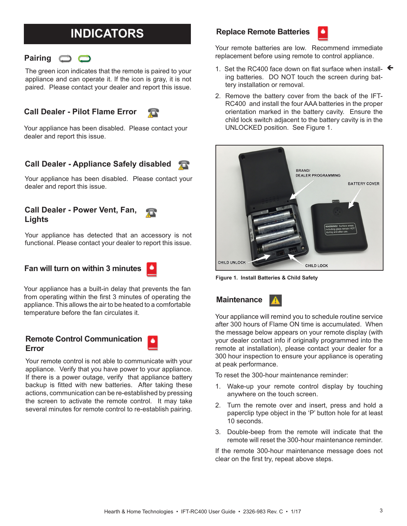# **INDICATORS**

### **Pairing**  $\bigcirc$   $\bigcirc$

The green icon indicates that the remote is paired to your appliance and can operate it. If the icon is gray, it is not paired. Please contact your dealer and report this issue.



Your appliance has been disabled. Please contact your dealer and report this issue.

無

#### **Call Dealer - Appliance Safely disabled**

Your appliance has been disabled. Please contact your dealer and report this issue.

#### **Call Dealer - Power Vent, Fan, Lights**

Your appliance has detected that an accessory is not functional. Please contact your dealer to report this issue.

### **Fan will turn on within 3 minutes**

Your appliance has a built-in delay that prevents the fan from operating within the first 3 minutes of operating the appliance. This allows the air to be heated to a comfortable temperature before the fan circulates it.

#### **Remote Control Communication**  ۸ **Error**

Your remote control is not able to communicate with your appliance. Verify that you have power to your appliance. If there is a power outage, verify that appliance battery backup is fitted with new batteries. After taking these actions, communication can be re-established by pressing the screen to activate the remote control. It may take several minutes for remote control to re-establish pairing.

#### **Replace Remote Batteries**



Your remote batteries are low. Recommend immediate replacement before using remote to control appliance.

- 1. Set the RC400 face down on flat surface when install-  $\leftarrow$ ing batteries. DO NOT touch the screen during battery installation or removal.
- 2. Remove the battery cover from the back of the IFT-RC400 and install the four AAA batteries in the proper orientation marked in the battery cavity. Ensure the child lock switch adjacent to the battery cavity is in the UNLOCKED position. See Figure 1.



**Figure 1. Install Batteries & Child Safety**

**Maintenance**



Your appliance will remind you to schedule routine service after 300 hours of Flame ON time is accumulated. When the message below appears on your remote display (with your dealer contact info if originally programmed into the remote at installation), please contact your dealer for a 300 hour inspection to ensure your appliance is operating at peak performance.

To reset the 300-hour maintenance reminder:

- 1. Wake-up your remote control display by touching anywhere on the touch screen.
- 2. Turn the remote over and insert, press and hold a paperclip type object in the 'P' button hole for at least 10 seconds.
- 3. Double-beep from the remote will indicate that the remote will reset the 300-hour maintenance reminder.

If the remote 300-hour maintenance message does not clear on the first try, repeat above steps.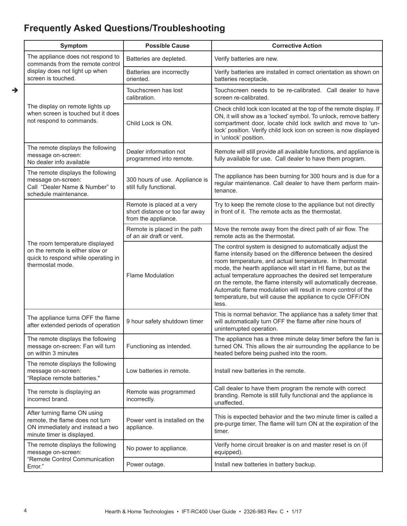### **Frequently Asked Questions/Troubleshooting**

| Symptom                                                                                                                           | <b>Possible Cause</b>                                                               | <b>Corrective Action</b>                                                                                                                                                                                                                                                                                                                                                                                                                                                                                                     |
|-----------------------------------------------------------------------------------------------------------------------------------|-------------------------------------------------------------------------------------|------------------------------------------------------------------------------------------------------------------------------------------------------------------------------------------------------------------------------------------------------------------------------------------------------------------------------------------------------------------------------------------------------------------------------------------------------------------------------------------------------------------------------|
| The appliance does not respond to<br>commands from the remote control<br>display does not light up when<br>screen is touched.     | Batteries are depleted.                                                             | Verify batteries are new.                                                                                                                                                                                                                                                                                                                                                                                                                                                                                                    |
|                                                                                                                                   | Batteries are incorrectly<br>oriented.                                              | Verify batteries are installed in correct orientation as shown on<br>batteries receptacle.                                                                                                                                                                                                                                                                                                                                                                                                                                   |
| The display on remote lights up<br>when screen is touched but it does<br>not respond to commands.                                 | Touchscreen has lost<br>calibration.                                                | Touchscreen needs to be re-calibrated. Call dealer to have<br>screen re-calibrated.                                                                                                                                                                                                                                                                                                                                                                                                                                          |
|                                                                                                                                   | Child Lock is ON.                                                                   | Check child lock icon located at the top of the remote display. If<br>ON, it will show as a 'locked' symbol. To unlock, remove battery<br>compartment door, locate child lock switch and move to 'un-<br>lock' position. Verify child lock icon on screen is now displayed<br>in 'unlock' position.                                                                                                                                                                                                                          |
| The remote displays the following<br>message on-screen:<br>No dealer info available                                               | Dealer information not<br>programmed into remote.                                   | Remote will still provide all available functions, and appliance is<br>fully available for use. Call dealer to have them program.                                                                                                                                                                                                                                                                                                                                                                                            |
| The remote displays the following<br>message on-screen:<br>Call "Dealer Name & Number" to<br>schedule maintenance.                | 300 hours of use. Appliance is<br>still fully functional.                           | The appliance has been burning for 300 hours and is due for a<br>regular maintenance. Call dealer to have them perform main-<br>tenance.                                                                                                                                                                                                                                                                                                                                                                                     |
| The room temperature displayed<br>on the remote is either slow or<br>quick to respond while operating in<br>thermostat mode.      | Remote is placed at a very<br>short distance or too far away<br>from the appliance. | Try to keep the remote close to the appliance but not directly<br>in front of it. The remote acts as the thermostat.                                                                                                                                                                                                                                                                                                                                                                                                         |
|                                                                                                                                   | Remote is placed in the path<br>of an air draft or vent.                            | Move the remote away from the direct path of air flow. The<br>remote acts as the thermostat.                                                                                                                                                                                                                                                                                                                                                                                                                                 |
|                                                                                                                                   | <b>Flame Modulation</b>                                                             | The control system is designed to automatically adjust the<br>flame intensity based on the difference between the desired<br>room temperature, and actual temperature. In thermostat<br>mode, the hearth appliance will start in HI flame, but as the<br>actual temperature approaches the desired set temperature<br>on the remote, the flame intensity will automatically decrease.<br>Automatic flame modulation will result in more control of the<br>temperature, but will cause the appliance to cycle OFF/ON<br>less. |
| The appliance turns OFF the flame<br>after extended periods of operation                                                          | 9 hour safety shutdown timer                                                        | This is normal behavior. The appliance has a safety timer that<br>will automatically turn OFF the flame after nine hours of<br>uninterrupted operation.                                                                                                                                                                                                                                                                                                                                                                      |
| The remote displays the following<br>message on-screen: Fan will turn<br>on within 3 minutes                                      | Functioning as intended.                                                            | The appliance has a three minute delay timer before the fan is<br>turned ON. This allows the air surrounding the appliance to be<br>heated before being pushed into the room.                                                                                                                                                                                                                                                                                                                                                |
| The remote displays the following<br>message on-screen:<br>"Replace remote batteries."                                            | Low batteries in remote.                                                            | Install new batteries in the remote.                                                                                                                                                                                                                                                                                                                                                                                                                                                                                         |
| The remote is displaying an<br>incorrect brand.                                                                                   | Remote was programmed<br>incorrectly.                                               | Call dealer to have them program the remote with correct<br>branding. Remote is still fully functional and the appliance is<br>unaffected.                                                                                                                                                                                                                                                                                                                                                                                   |
| After turning flame ON using<br>remote, the flame does not turn<br>ON immediately and instead a two<br>minute timer is displayed. | Power vent is installed on the<br>appliance.                                        | This is expected behavior and the two minute timer is called a<br>pre-purge timer. The flame will turn ON at the expiration of the<br>timer.                                                                                                                                                                                                                                                                                                                                                                                 |
| The remote displays the following<br>message on-screen:<br>"Remote Control Communication<br>Error."                               | No power to appliance.                                                              | Verify home circuit breaker is on and master reset is on (if<br>equipped).                                                                                                                                                                                                                                                                                                                                                                                                                                                   |
|                                                                                                                                   | Power outage.                                                                       | Install new batteries in battery backup.                                                                                                                                                                                                                                                                                                                                                                                                                                                                                     |

 $\rightarrow$